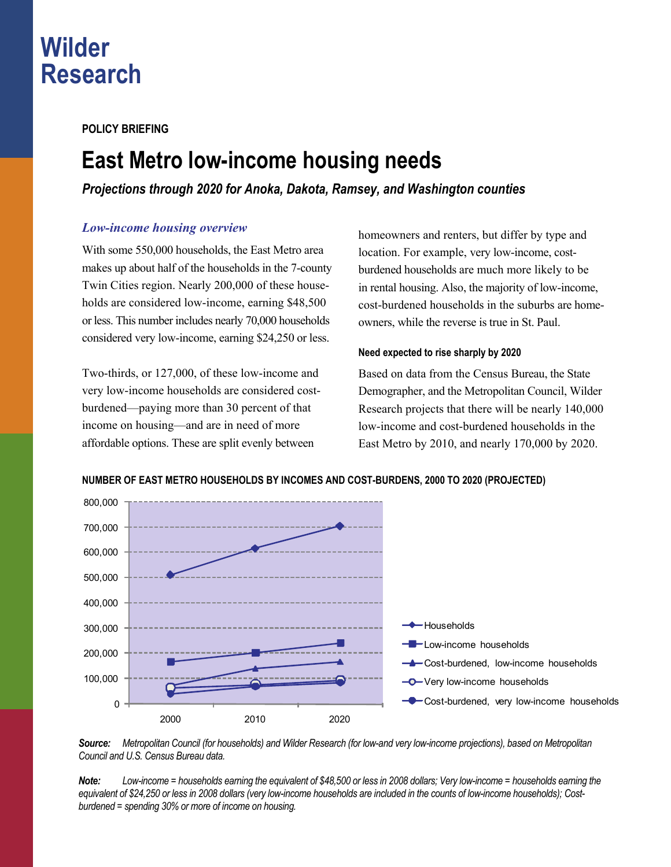# **Wilder Research**

**POLICY BRIEFING** 

## **East Metro low-income housing needs**

*Projections through 2020 for Anoka, Dakota, Ramsey, and Washington counties* 

## *Low-income housing overview*

With some 550,000 households, the East Metro area makes up about half of the households in the 7-county Twin Cities region. Nearly 200,000 of these households are considered low-income, earning \$48,500 or less. This number includes nearly 70,000 households considered very low-income, earning \$24,250 or less.

Two-thirds, or 127,000, of these low-income and very low-income households are considered costburdened—paying more than 30 percent of that income on housing—and are in need of more affordable options. These are split evenly between

homeowners and renters, but differ by type and location. For example, very low-income, costburdened households are much more likely to be in rental housing. Also, the majority of low-income, cost-burdened households in the suburbs are homeowners, while the reverse is true in St. Paul.

## **Need expected to rise sharply by 2020**

Based on data from the Census Bureau, the State Demographer, and the Metropolitan Council, Wilder Research projects that there will be nearly 140,000 low-income and cost-burdened households in the East Metro by 2010, and nearly 170,000 by 2020.



**NUMBER OF EAST METRO HOUSEHOLDS BY INCOMES AND COST-BURDENS, 2000 TO 2020 (PROJECTED)** 

*Source: Metropolitan Council (for households) and Wilder Research (for low-and very low-income projections), based on Metropolitan Council and U.S. Census Bureau data.* 

*Note: Low-income = households earning the equivalent of \$48,500 or less in 2008 dollars; Very low-income = households earning the equivalent of \$24,250 or less in 2008 dollars (very low-income households are included in the counts of low-income households); Costburdened = spending 30% or more of income on housing.*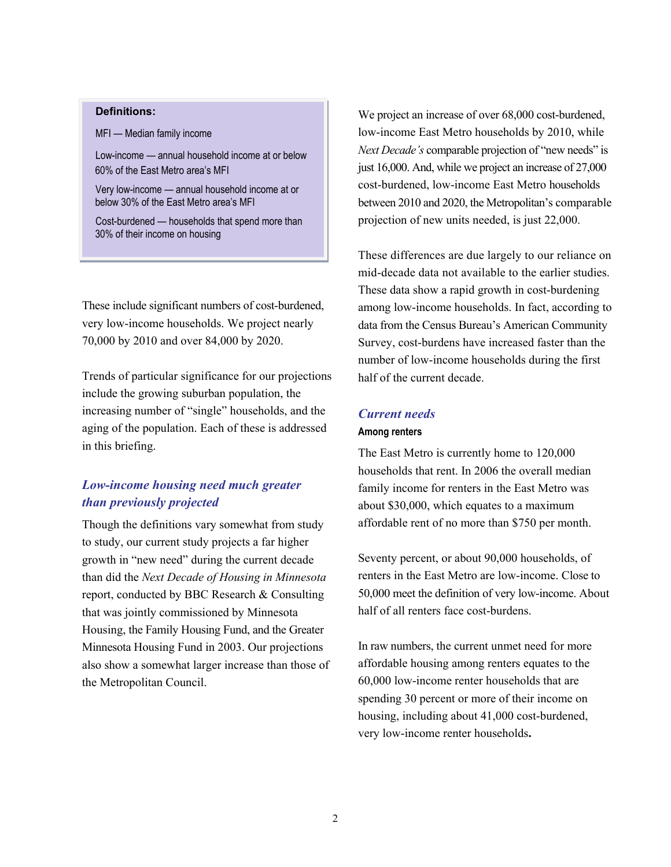## **Definitions:**

MFI — Median family income

Low-income — annual household income at or below 60% of the East Metro area's MFI

Very low-income — annual household income at or below 30% of the East Metro area's MFI

Cost-burdened — households that spend more than 30% of their income on housing

These include significant numbers of cost-burdened, very low-income households. We project nearly 70,000 by 2010 and over 84,000 by 2020.

Trends of particular significance for our projections include the growing suburban population, the increasing number of "single" households, and the aging of the population. Each of these is addressed in this briefing.

## *Low-income housing need much greater than previously projected*

Though the definitions vary somewhat from study to study, our current study projects a far higher growth in "new need" during the current decade than did the *Next Decade of Housing in Minnesota* report, conducted by BBC Research & Consulting that was jointly commissioned by Minnesota Housing, the Family Housing Fund, and the Greater Minnesota Housing Fund in 2003. Our projections also show a somewhat larger increase than those of the Metropolitan Council.

We project an increase of over 68,000 cost-burdened, low-income East Metro households by 2010, while *Next Decade's* comparable projection of "new needs" is just 16,000. And, while we project an increase of 27,000 cost-burdened, low-income East Metro households between 2010 and 2020, the Metropolitan's comparable projection of new units needed, is just 22,000.

These differences are due largely to our reliance on mid-decade data not available to the earlier studies. These data show a rapid growth in cost-burdening among low-income households. In fact, according to data from the Census Bureau's American Community Survey, cost-burdens have increased faster than the number of low-income households during the first half of the current decade.

## *Current needs*

## **Among renters**

The East Metro is currently home to 120,000 households that rent. In 2006 the overall median family income for renters in the East Metro was about \$30,000, which equates to a maximum affordable rent of no more than \$750 per month.

Seventy percent, or about 90,000 households, of renters in the East Metro are low-income. Close to 50,000 meet the definition of very low-income. About half of all renters face cost-burdens.

In raw numbers, the current unmet need for more affordable housing among renters equates to the 60,000 low-income renter households that are spending 30 percent or more of their income on housing, including about 41,000 cost-burdened, very low-income renter households**.**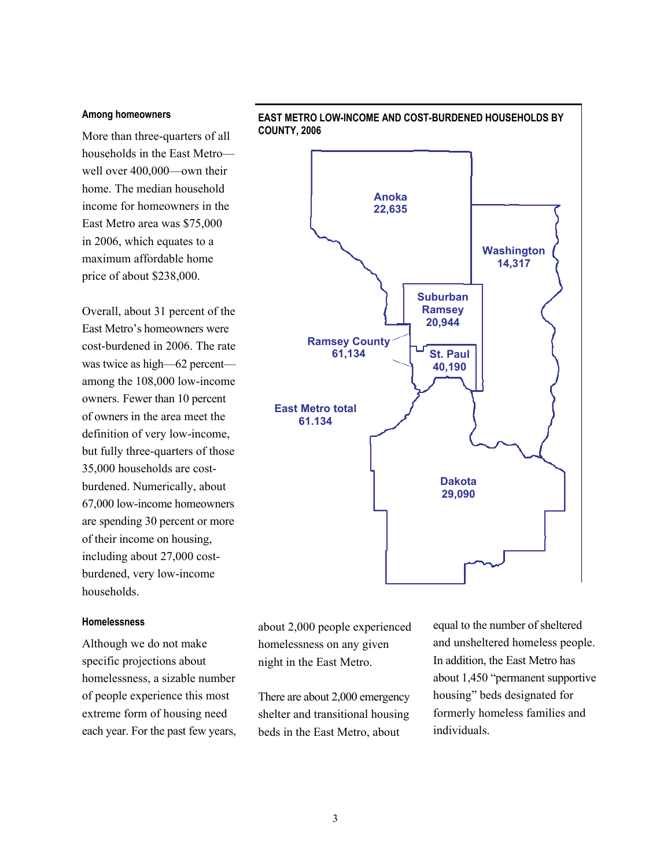#### **Among homeowners**

More than three-quarters of all households in the East Metro well over 400,000—own their home. The median household income for homeowners in the East Metro area was \$75,000 in 2006, which equates to a maximum affordable home price of about \$238,000.

Overall, about 31 percent of the East Metro's homeowners were cost-burdened in 2006. The rate was twice as high—62 percent among the 108,000 low-income owners. Fewer than 10 percent of owners in the area meet the definition of very low-income, but fully three-quarters of those 35,000 households are costburdened. Numerically, about 67,000 low-income homeowners are spending 30 percent or more of their income on housing, including about 27,000 costburdened, very low-income households.

#### **Homelessness**

Although we do not make specific projections about homelessness, a sizable number of people experience this most extreme form of housing need each year. For the past few years,



There are about 2,000 emergency shelter and transitional housing beds in the East Metro, about

equal to the number of sheltered and unsheltered homeless people. In addition, the East Metro has about 1,450 "permanent supportive housing" beds designated for formerly homeless families and individuals.



# **COUNTY, 2006**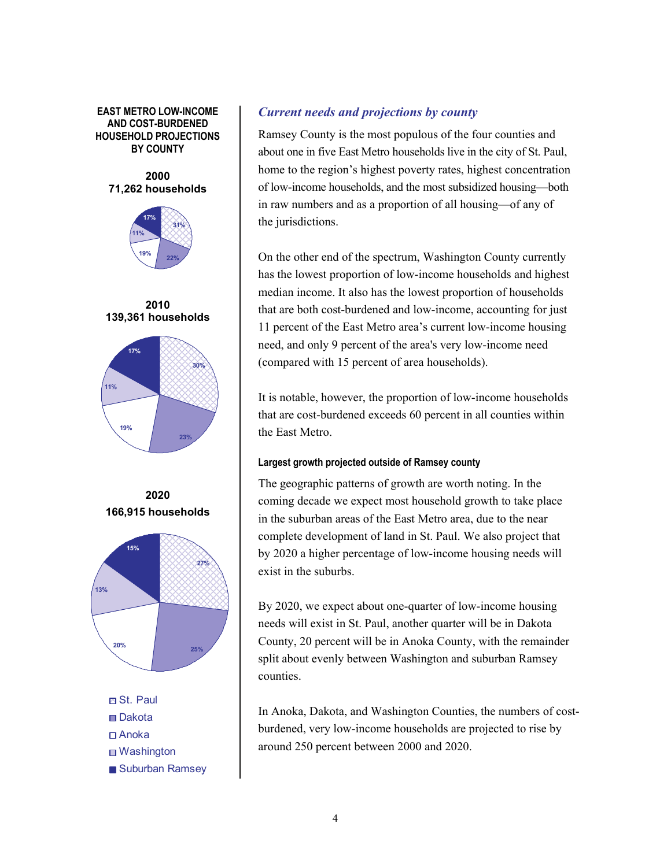#### **EAST METRO LOW-INCOME AND COST-BURDENED HOUSEHOLD PROJECTIONS BY COUNTY**







**2020 166,915 households** 



■ Suburban Ramsey

## *Current needs and projections by county*

Ramsey County is the most populous of the four counties and about one in five East Metro households live in the city of St. Paul, home to the region's highest poverty rates, highest concentration of low-income households, and the most subsidized housing—both in raw numbers and as a proportion of all housing—of any of the jurisdictions.

On the other end of the spectrum, Washington County currently has the lowest proportion of low-income households and highest median income. It also has the lowest proportion of households that are both cost-burdened and low-income, accounting for just 11 percent of the East Metro area's current low-income housing need, and only 9 percent of the area's very low-income need (compared with 15 percent of area households).

It is notable, however, the proportion of low-income households that are cost-burdened exceeds 60 percent in all counties within the East Metro.

#### **Largest growth projected outside of Ramsey county**

The geographic patterns of growth are worth noting. In the coming decade we expect most household growth to take place in the suburban areas of the East Metro area, due to the near complete development of land in St. Paul. We also project that by 2020 a higher percentage of low-income housing needs will exist in the suburbs.

By 2020, we expect about one-quarter of low-income housing needs will exist in St. Paul, another quarter will be in Dakota County, 20 percent will be in Anoka County, with the remainder split about evenly between Washington and suburban Ramsey counties.

In Anoka, Dakota, and Washington Counties, the numbers of costburdened, very low-income households are projected to rise by around 250 percent between 2000 and 2020.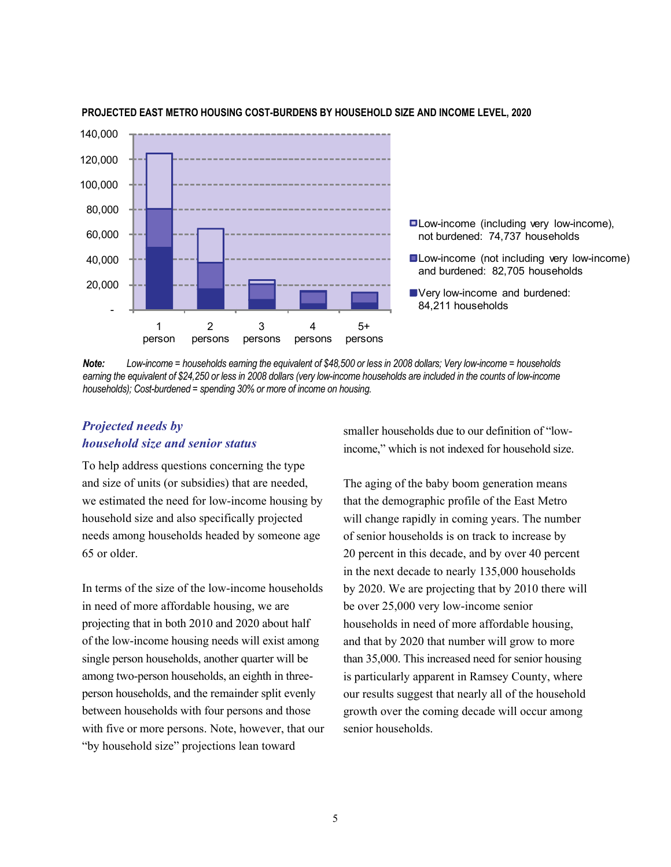

## **PROJECTED EAST METRO HOUSING COST-BURDENS BY HOUSEHOLD SIZE AND INCOME LEVEL, 2020**

*Note: Low-income = households earning the equivalent of \$48,500 or less in 2008 dollars; Very low-income = households earning the equivalent of \$24,250 or less in 2008 dollars (very low-income households are included in the counts of low-income households); Cost-burdened = spending 30% or more of income on housing.* 

## *Projected needs by household size and senior status*

To help address questions concerning the type and size of units (or subsidies) that are needed, we estimated the need for low-income housing by household size and also specifically projected needs among households headed by someone age 65 or older.

In terms of the size of the low-income households in need of more affordable housing, we are projecting that in both 2010 and 2020 about half of the low-income housing needs will exist among single person households, another quarter will be among two-person households, an eighth in threeperson households, and the remainder split evenly between households with four persons and those with five or more persons. Note, however, that our "by household size" projections lean toward

smaller households due to our definition of "lowincome," which is not indexed for household size.

The aging of the baby boom generation means that the demographic profile of the East Metro will change rapidly in coming years. The number of senior households is on track to increase by 20 percent in this decade, and by over 40 percent in the next decade to nearly 135,000 households by 2020. We are projecting that by 2010 there will be over 25,000 very low-income senior households in need of more affordable housing, and that by 2020 that number will grow to more than 35,000. This increased need for senior housing is particularly apparent in Ramsey County, where our results suggest that nearly all of the household growth over the coming decade will occur among senior households.